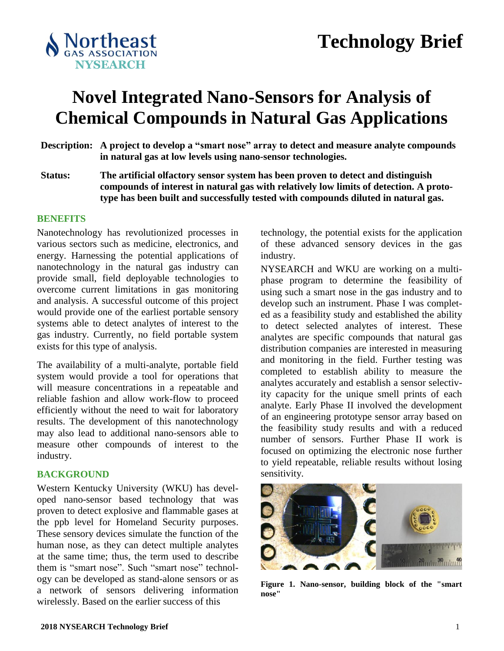

# **Novel Integrated Nano-Sensors for Analysis of Chemical Compounds in Natural Gas Applications**

- **Description: A project to develop a "smart nose" array to detect and measure analyte compounds in natural gas at low levels using nano-sensor technologies.**
- **Status: The artificial olfactory sensor system has been proven to detect and distinguish compounds of interest in natural gas with relatively low limits of detection. A prototype has been built and successfully tested with compounds diluted in natural gas.**

#### **BENEFITS**

Nanotechnology has revolutionized processes in various sectors such as medicine, electronics, and energy. Harnessing the potential applications of nanotechnology in the natural gas industry can provide small, field deployable technologies to overcome current limitations in gas monitoring and analysis. A successful outcome of this project would provide one of the earliest portable sensory systems able to detect analytes of interest to the gas industry. Currently, no field portable system exists for this type of analysis.

The availability of a multi-analyte, portable field system would provide a tool for operations that will measure concentrations in a repeatable and reliable fashion and allow work-flow to proceed efficiently without the need to wait for laboratory results. The development of this nanotechnology may also lead to additional nano-sensors able to measure other compounds of interest to the industry.

### **BACKGROUND**

Western Kentucky University (WKU) has developed nano-sensor based technology that was proven to detect explosive and flammable gases at the ppb level for Homeland Security purposes. These sensory devices simulate the function of the human nose, as they can detect multiple analytes at the same time; thus, the term used to describe them is "smart nose". Such "smart nose" technology can be developed as stand-alone sensors or as a network of sensors delivering information wirelessly. Based on the earlier success of this

technology, the potential exists for the application of these advanced sensory devices in the gas industry.

NYSEARCH and WKU are working on a multiphase program to determine the feasibility of using such a smart nose in the gas industry and to develop such an instrument. Phase I was completed as a feasibility study and established the ability to detect selected analytes of interest. These analytes are specific compounds that natural gas distribution companies are interested in measuring and monitoring in the field. Further testing was completed to establish ability to measure the analytes accurately and establish a sensor selectivity capacity for the unique smell prints of each analyte. Early Phase II involved the development of an engineering prototype sensor array based on the feasibility study results and with a reduced number of sensors. Further Phase II work is focused on optimizing the electronic nose further to yield repeatable, reliable results without losing sensitivity.



**Figure 1. Nano-sensor, building block of the "smart nose"**